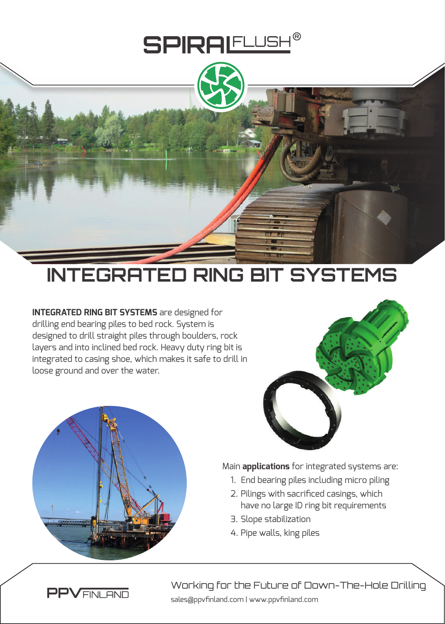

## **INTEGRATED RING BIT SYSTEMS**

**INTEGRATED RING BIT SYSTEMS** are designed for drilling end bearing piles to bed rock. System is designed to drill straight piles through boulders, rock layers and into inclined bed rock. Heavy duty ring bit is integrated to casing shoe, which makes it safe to drill in loose ground and over the water.





Main **applications** for integrated systems are:

- 1. End bearing piles including micro piling
- 2. Pilings with sacrificed casings, which have no large ID ring bit requirements
- 3. Slope stabilization
- 4. Pipe walls, king piles

sales@ppvfinland.com | www.ppvfinland.com Working for the Future of Down-The-Hole Drilling